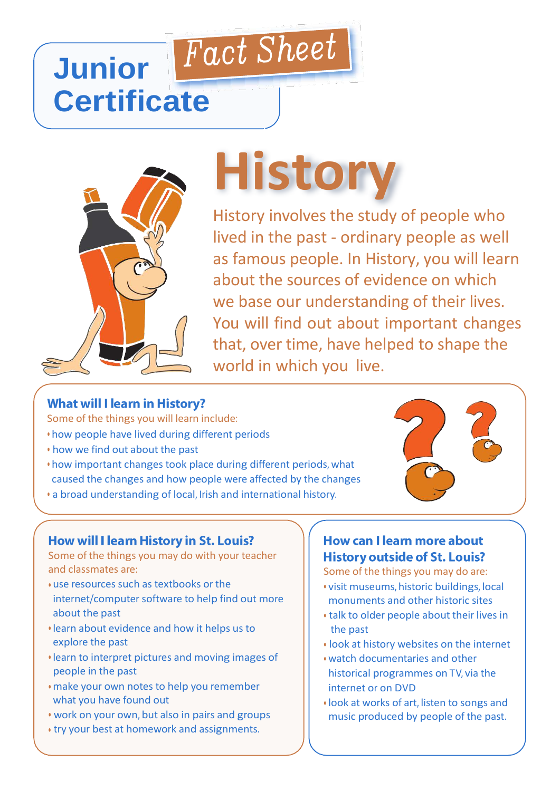# Fact Sheet **Junior Certificate**



# **History**

History involves the study of people who lived in the past - ordinary people as well as famous people. In History, you will learn about the sources of evidence on which we base our understanding of their lives. You will find out about important changes that, over time, have helped to shape the world in which you live.

# **What will I learn in History?**

Some of the things you will learn include:

- how people have lived during different periods
- how we find out about the past
- how important changes took place during different periods, what caused the changes and how people were affected by the changes
- a broad understanding of local, Irish and international history.

#### How will I learn History in St. Louis?

Some of the things you may do with your teacher and classmates are:

- use resources such as textbooks or the internet/computer software to help find out more about the past
- learn about evidence and how it helps us to explore the past
- learn to interpret pictures and moving images of people in the past
- make your own notes to help you remember what you have found out
- work on your own, but also in pairs and groups
- try your best at homework and assignments.

# **How can I learn more about History outside of St. Louis?**

Some of the things you may do are:

- visit museums, historic buildings, local monuments and other historic sites
- talk to older people about their lives in the past
- look at history websites on the internet
- watch documentaries and other historical programmes on TV, via the internet or on DVD
- look at works of art, listen to songs and music produced by people of the past.